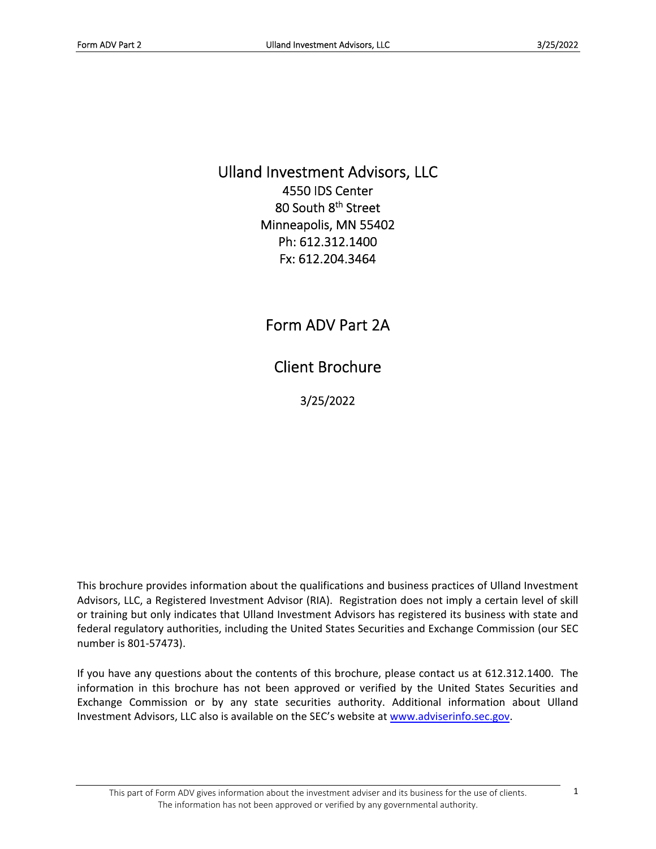Ulland Investment Advisors, LLC 4550 IDS Center 80 South 8<sup>th</sup> Street Minneapolis, MN 55402 Ph: 612.312.1400 Fx: 612.204.3464

Form ADV Part 2A

Client Brochure

3/25/2022

This brochure provides information about the qualifications and business practices of Ulland Investment Advisors, LLC, a Registered Investment Advisor (RIA). Registration does not imply a certain level of skill or training but only indicates that Ulland Investment Advisors has registered its business with state and federal regulatory authorities, including the United States Securities and Exchange Commission (our SEC number is 801‐57473).

If you have any questions about the contents of this brochure, please contact us at 612.312.1400. The information in this brochure has not been approved or verified by the United States Securities and Exchange Commission or by any state securities authority. Additional information about Ulland Investment Advisors, LLC also is available on the SEC's website at www.adviserinfo.sec.gov.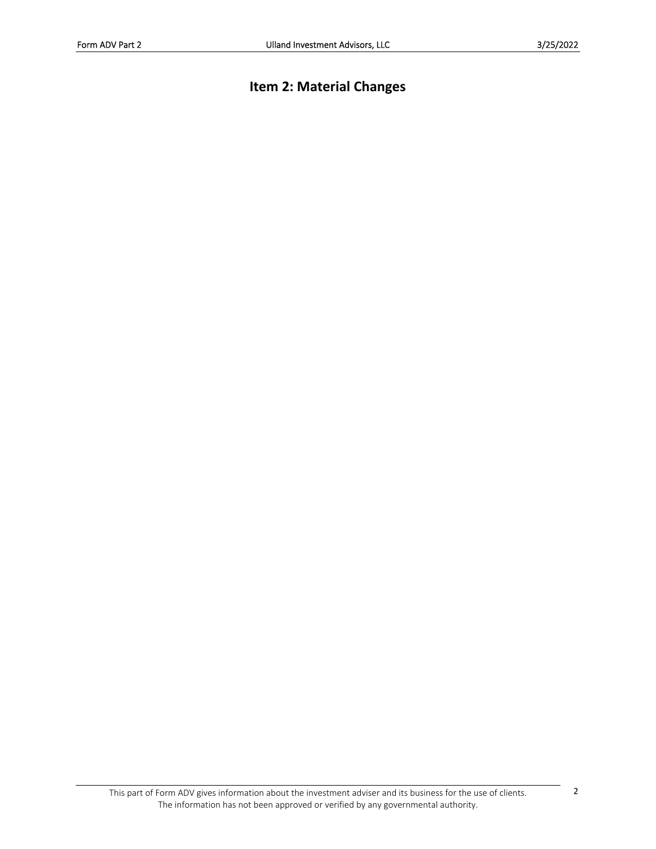# **Item 2: Material Changes**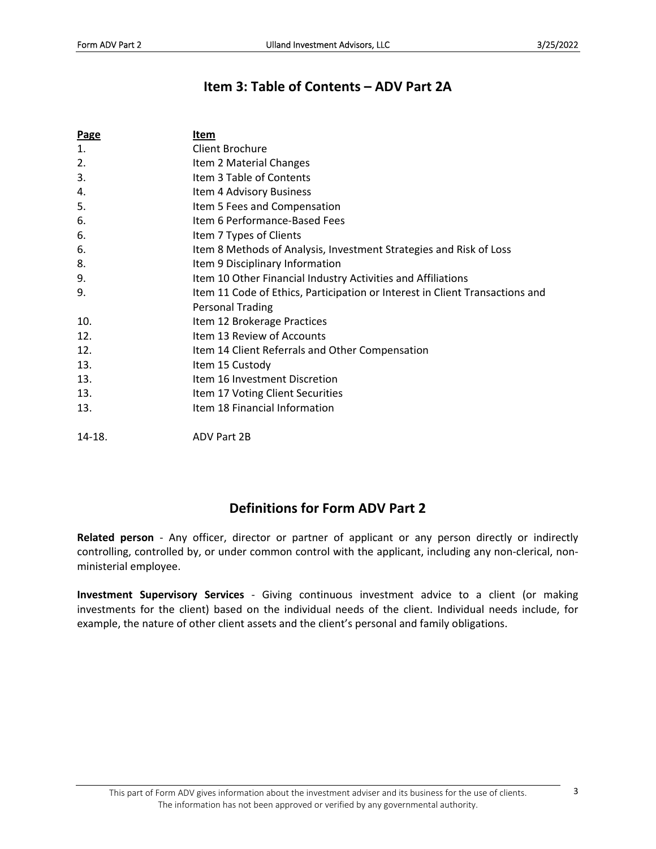## **Item 3: Table of Contents – ADV Part 2A**

| <b>Page</b> | Item                                                                         |
|-------------|------------------------------------------------------------------------------|
| 1.          | Client Brochure                                                              |
| 2.          | Item 2 Material Changes                                                      |
| 3.          | Item 3 Table of Contents                                                     |
| 4.          | Item 4 Advisory Business                                                     |
| 5.          | Item 5 Fees and Compensation                                                 |
| 6.          | Item 6 Performance-Based Fees                                                |
| 6.          | Item 7 Types of Clients                                                      |
| 6.          | Item 8 Methods of Analysis, Investment Strategies and Risk of Loss           |
| 8.          | Item 9 Disciplinary Information                                              |
| 9.          | Item 10 Other Financial Industry Activities and Affiliations                 |
| 9.          | Item 11 Code of Ethics, Participation or Interest in Client Transactions and |
|             | <b>Personal Trading</b>                                                      |
| 10.         | Item 12 Brokerage Practices                                                  |
| 12.         | Item 13 Review of Accounts                                                   |
| 12.         | Item 14 Client Referrals and Other Compensation                              |
| 13.         | Item 15 Custody                                                              |
| 13.         | Item 16 Investment Discretion                                                |
| 13.         | Item 17 Voting Client Securities                                             |
| 13.         | Item 18 Financial Information                                                |
| $14-18.$    | ADV Part 2B                                                                  |

## **Definitions for Form ADV Part 2**

**Related person** ‐ Any officer, director or partner of applicant or any person directly or indirectly controlling, controlled by, or under common control with the applicant, including any non‐clerical, non‐ ministerial employee.

**Investment Supervisory Services** ‐ Giving continuous investment advice to a client (or making investments for the client) based on the individual needs of the client. Individual needs include, for example, the nature of other client assets and the client's personal and family obligations.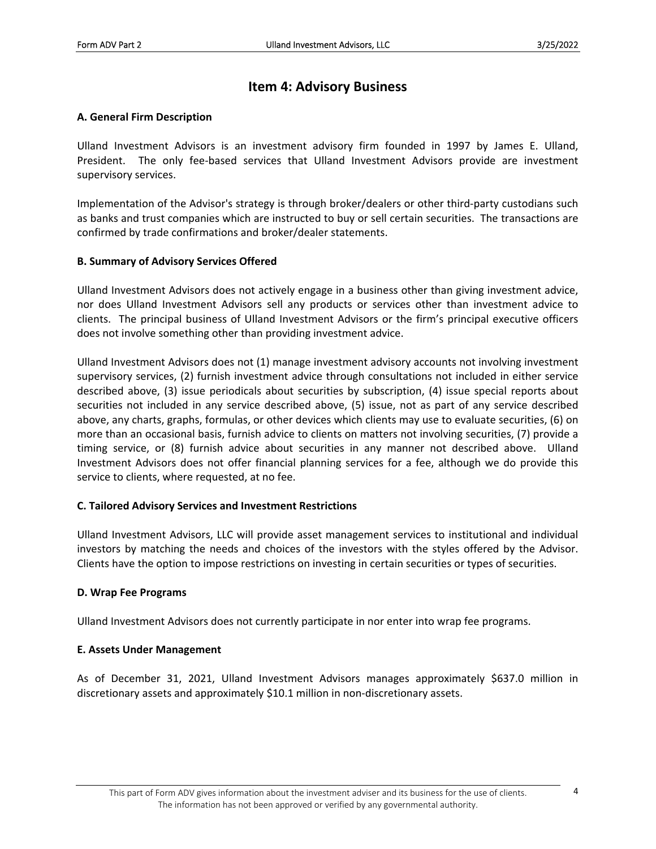### **Item 4: Advisory Business**

### **A. General Firm Description**

Ulland Investment Advisors is an investment advisory firm founded in 1997 by James E. Ulland, President. The only fee-based services that Ulland Investment Advisors provide are investment supervisory services.

Implementation of the Advisor's strategy is through broker/dealers or other third-party custodians such as banks and trust companies which are instructed to buy or sell certain securities. The transactions are confirmed by trade confirmations and broker/dealer statements.

#### **B. Summary of Advisory Services Offered**

Ulland Investment Advisors does not actively engage in a business other than giving investment advice, nor does Ulland Investment Advisors sell any products or services other than investment advice to clients. The principal business of Ulland Investment Advisors or the firm's principal executive officers does not involve something other than providing investment advice.

Ulland Investment Advisors does not (1) manage investment advisory accounts not involving investment supervisory services, (2) furnish investment advice through consultations not included in either service described above, (3) issue periodicals about securities by subscription, (4) issue special reports about securities not included in any service described above, (5) issue, not as part of any service described above, any charts, graphs, formulas, or other devices which clients may use to evaluate securities, (6) on more than an occasional basis, furnish advice to clients on matters not involving securities, (7) provide a timing service, or (8) furnish advice about securities in any manner not described above. Ulland Investment Advisors does not offer financial planning services for a fee, although we do provide this service to clients, where requested, at no fee.

### **C. Tailored Advisory Services and Investment Restrictions**

Ulland Investment Advisors, LLC will provide asset management services to institutional and individual investors by matching the needs and choices of the investors with the styles offered by the Advisor. Clients have the option to impose restrictions on investing in certain securities or types of securities.

### **D. Wrap Fee Programs**

Ulland Investment Advisors does not currently participate in nor enter into wrap fee programs.

### **E. Assets Under Management**

As of December 31, 2021, Ulland Investment Advisors manages approximately \$637.0 million in discretionary assets and approximately \$10.1 million in non‐discretionary assets.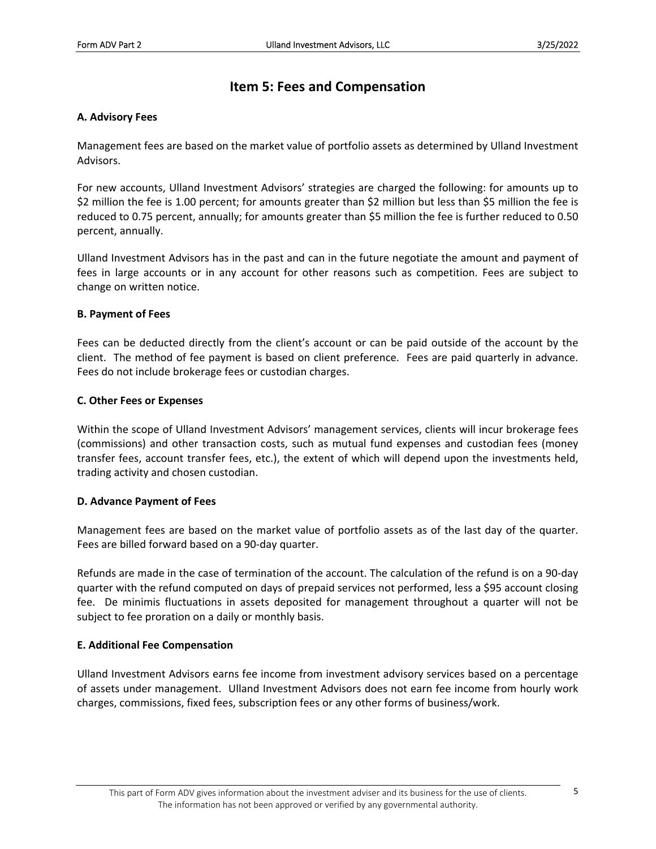### **Item 5: Fees and Compensation**

#### **A. Advisory Fees**

Management fees are based on the market value of portfolio assets as determined by Ulland Investment Advisors.

For new accounts, Ulland Investment Advisors' strategies are charged the following: for amounts up to \$2 million the fee is 1.00 percent; for amounts greater than \$2 million but less than \$5 million the fee is reduced to 0.75 percent, annually; for amounts greater than \$5 million the fee is further reduced to 0.50 percent, annually.

Ulland Investment Advisors has in the past and can in the future negotiate the amount and payment of fees in large accounts or in any account for other reasons such as competition. Fees are subject to change on written notice.

#### **B. Payment of Fees**

Fees can be deducted directly from the client's account or can be paid outside of the account by the client. The method of fee payment is based on client preference. Fees are paid quarterly in advance. Fees do not include brokerage fees or custodian charges.

#### **C. Other Fees or Expenses**

Within the scope of Ulland Investment Advisors' management services, clients will incur brokerage fees (commissions) and other transaction costs, such as mutual fund expenses and custodian fees (money transfer fees, account transfer fees, etc.), the extent of which will depend upon the investments held, trading activity and chosen custodian.

### **D. Advance Payment of Fees**

Management fees are based on the market value of portfolio assets as of the last day of the quarter. Fees are billed forward based on a 90‐day quarter.

Refunds are made in the case of termination of the account. The calculation of the refund is on a 90‐day quarter with the refund computed on days of prepaid services not performed, less a \$95 account closing fee. De minimis fluctuations in assets deposited for management throughout a quarter will not be subject to fee proration on a daily or monthly basis.

### **E. Additional Fee Compensation**

Ulland Investment Advisors earns fee income from investment advisory services based on a percentage of assets under management. Ulland Investment Advisors does not earn fee income from hourly work charges, commissions, fixed fees, subscription fees or any other forms of business/work.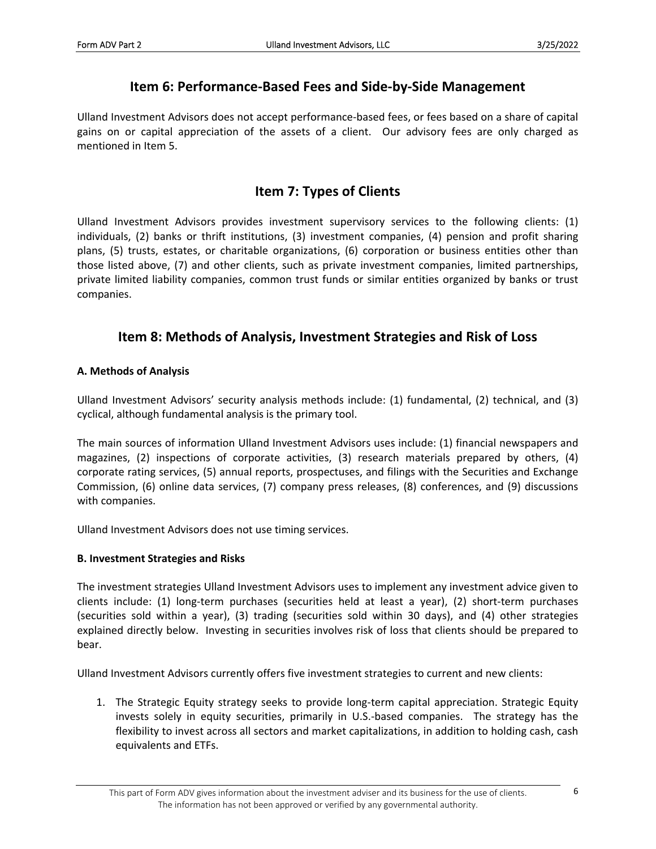### **Item 6: Performance‐Based Fees and Side‐by‐Side Management**

Ulland Investment Advisors does not accept performance‐based fees, or fees based on a share of capital gains on or capital appreciation of the assets of a client. Our advisory fees are only charged as mentioned in Item 5.

### **Item 7: Types of Clients**

Ulland Investment Advisors provides investment supervisory services to the following clients: (1) individuals, (2) banks or thrift institutions, (3) investment companies, (4) pension and profit sharing plans, (5) trusts, estates, or charitable organizations, (6) corporation or business entities other than those listed above, (7) and other clients, such as private investment companies, limited partnerships, private limited liability companies, common trust funds or similar entities organized by banks or trust companies.

### **Item 8: Methods of Analysis, Investment Strategies and Risk of Loss**

### **A. Methods of Analysis**

Ulland Investment Advisors' security analysis methods include: (1) fundamental, (2) technical, and (3) cyclical, although fundamental analysis is the primary tool.

The main sources of information Ulland Investment Advisors uses include: (1) financial newspapers and magazines, (2) inspections of corporate activities, (3) research materials prepared by others, (4) corporate rating services, (5) annual reports, prospectuses, and filings with the Securities and Exchange Commission, (6) online data services, (7) company press releases, (8) conferences, and (9) discussions with companies.

Ulland Investment Advisors does not use timing services.

### **B. Investment Strategies and Risks**

The investment strategies Ulland Investment Advisors uses to implement any investment advice given to clients include: (1) long‐term purchases (securities held at least a year), (2) short‐term purchases (securities sold within a year), (3) trading (securities sold within 30 days), and (4) other strategies explained directly below. Investing in securities involves risk of loss that clients should be prepared to bear.

Ulland Investment Advisors currently offers five investment strategies to current and new clients:

1. The Strategic Equity strategy seeks to provide long‐term capital appreciation. Strategic Equity invests solely in equity securities, primarily in U.S.-based companies. The strategy has the flexibility to invest across all sectors and market capitalizations, in addition to holding cash, cash equivalents and ETFs.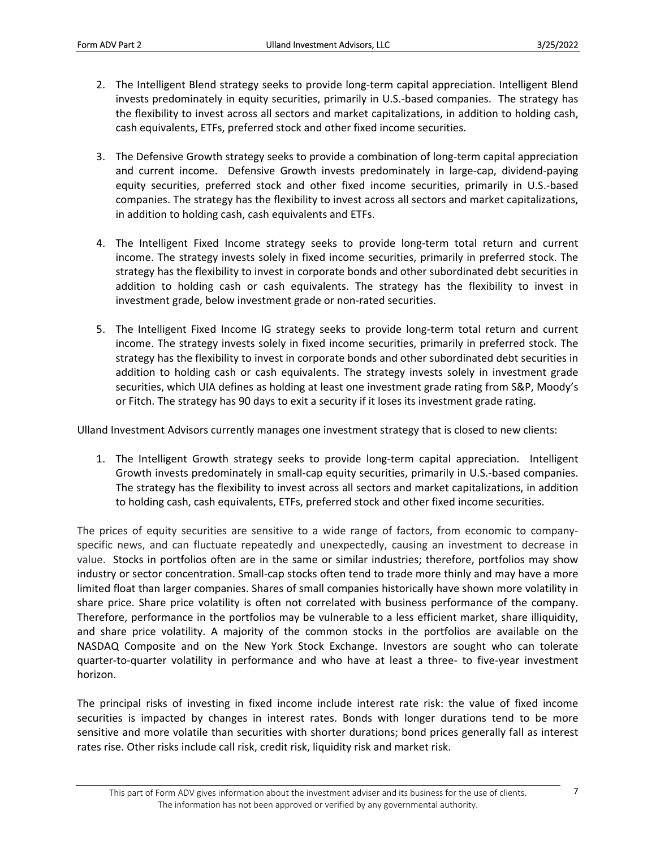- 2. The Intelligent Blend strategy seeks to provide long‐term capital appreciation. Intelligent Blend invests predominately in equity securities, primarily in U.S.‐based companies. The strategy has the flexibility to invest across all sectors and market capitalizations, in addition to holding cash, cash equivalents, ETFs, preferred stock and other fixed income securities.
- 3. The Defensive Growth strategy seeks to provide a combination of long‐term capital appreciation and current income. Defensive Growth invests predominately in large-cap, dividend-paying equity securities, preferred stock and other fixed income securities, primarily in U.S.‐based companies. The strategy has the flexibility to invest across all sectors and market capitalizations, in addition to holding cash, cash equivalents and ETFs.
- 4. The Intelligent Fixed Income strategy seeks to provide long-term total return and current income. The strategy invests solely in fixed income securities, primarily in preferred stock. The strategy has the flexibility to invest in corporate bonds and other subordinated debt securities in addition to holding cash or cash equivalents. The strategy has the flexibility to invest in investment grade, below investment grade or non‐rated securities.
- 5. The Intelligent Fixed Income IG strategy seeks to provide long-term total return and current income. The strategy invests solely in fixed income securities, primarily in preferred stock. The strategy has the flexibility to invest in corporate bonds and other subordinated debt securities in addition to holding cash or cash equivalents. The strategy invests solely in investment grade securities, which UIA defines as holding at least one investment grade rating from S&P, Moody's or Fitch. The strategy has 90 days to exit a security if it loses its investment grade rating.

Ulland Investment Advisors currently manages one investment strategy that is closed to new clients:

1. The Intelligent Growth strategy seeks to provide long-term capital appreciation. Intelligent Growth invests predominately in small-cap equity securities, primarily in U.S.-based companies. The strategy has the flexibility to invest across all sectors and market capitalizations, in addition to holding cash, cash equivalents, ETFs, preferred stock and other fixed income securities.

The prices of equity securities are sensitive to a wide range of factors, from economic to company‐ specific news, and can fluctuate repeatedly and unexpectedly, causing an investment to decrease in value. Stocks in portfolios often are in the same or similar industries; therefore, portfolios may show industry or sector concentration. Small‐cap stocks often tend to trade more thinly and may have a more limited float than larger companies. Shares of small companies historically have shown more volatility in share price. Share price volatility is often not correlated with business performance of the company. Therefore, performance in the portfolios may be vulnerable to a less efficient market, share illiquidity, and share price volatility. A majority of the common stocks in the portfolios are available on the NASDAQ Composite and on the New York Stock Exchange. Investors are sought who can tolerate quarter-to-quarter volatility in performance and who have at least a three- to five-year investment horizon.

The principal risks of investing in fixed income include interest rate risk: the value of fixed income securities is impacted by changes in interest rates. Bonds with longer durations tend to be more sensitive and more volatile than securities with shorter durations; bond prices generally fall as interest rates rise. Other risks include call risk, credit risk, liquidity risk and market risk.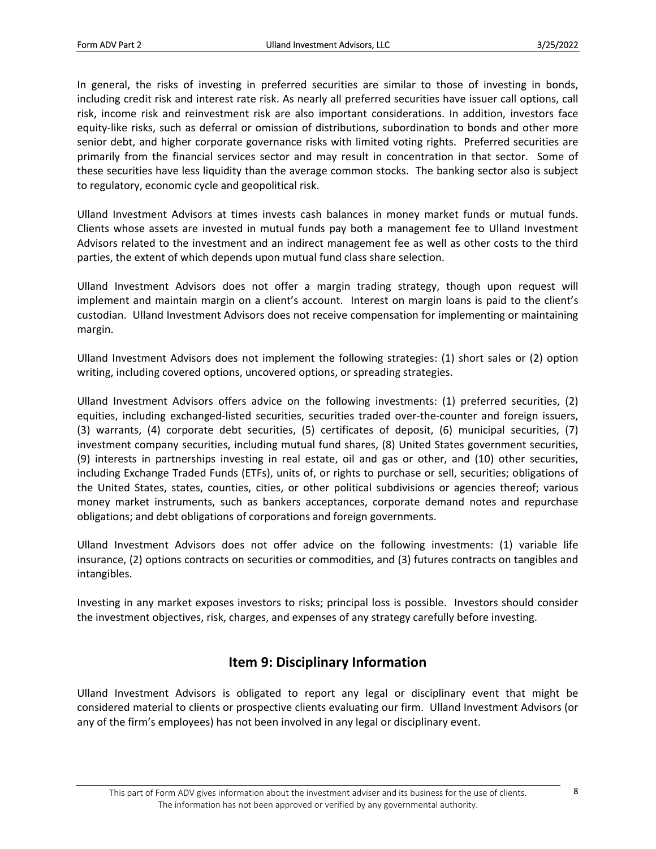In general, the risks of investing in preferred securities are similar to those of investing in bonds, including credit risk and interest rate risk. As nearly all preferred securities have issuer call options, call risk, income risk and reinvestment risk are also important considerations. In addition, investors face equity‐like risks, such as deferral or omission of distributions, subordination to bonds and other more senior debt, and higher corporate governance risks with limited voting rights. Preferred securities are primarily from the financial services sector and may result in concentration in that sector. Some of these securities have less liquidity than the average common stocks. The banking sector also is subject to regulatory, economic cycle and geopolitical risk.

Ulland Investment Advisors at times invests cash balances in money market funds or mutual funds. Clients whose assets are invested in mutual funds pay both a management fee to Ulland Investment Advisors related to the investment and an indirect management fee as well as other costs to the third parties, the extent of which depends upon mutual fund class share selection.

Ulland Investment Advisors does not offer a margin trading strategy, though upon request will implement and maintain margin on a client's account. Interest on margin loans is paid to the client's custodian. Ulland Investment Advisors does not receive compensation for implementing or maintaining margin.

Ulland Investment Advisors does not implement the following strategies: (1) short sales or (2) option writing, including covered options, uncovered options, or spreading strategies.

Ulland Investment Advisors offers advice on the following investments: (1) preferred securities, (2) equities, including exchanged-listed securities, securities traded over-the-counter and foreign issuers, (3) warrants, (4) corporate debt securities, (5) certificates of deposit, (6) municipal securities, (7) investment company securities, including mutual fund shares, (8) United States government securities, (9) interests in partnerships investing in real estate, oil and gas or other, and (10) other securities, including Exchange Traded Funds (ETFs), units of, or rights to purchase or sell, securities; obligations of the United States, states, counties, cities, or other political subdivisions or agencies thereof; various money market instruments, such as bankers acceptances, corporate demand notes and repurchase obligations; and debt obligations of corporations and foreign governments.

Ulland Investment Advisors does not offer advice on the following investments: (1) variable life insurance, (2) options contracts on securities or commodities, and (3) futures contracts on tangibles and intangibles.

Investing in any market exposes investors to risks; principal loss is possible. Investors should consider the investment objectives, risk, charges, and expenses of any strategy carefully before investing.

### **Item 9: Disciplinary Information**

Ulland Investment Advisors is obligated to report any legal or disciplinary event that might be considered material to clients or prospective clients evaluating our firm. Ulland Investment Advisors (or any of the firm's employees) has not been involved in any legal or disciplinary event.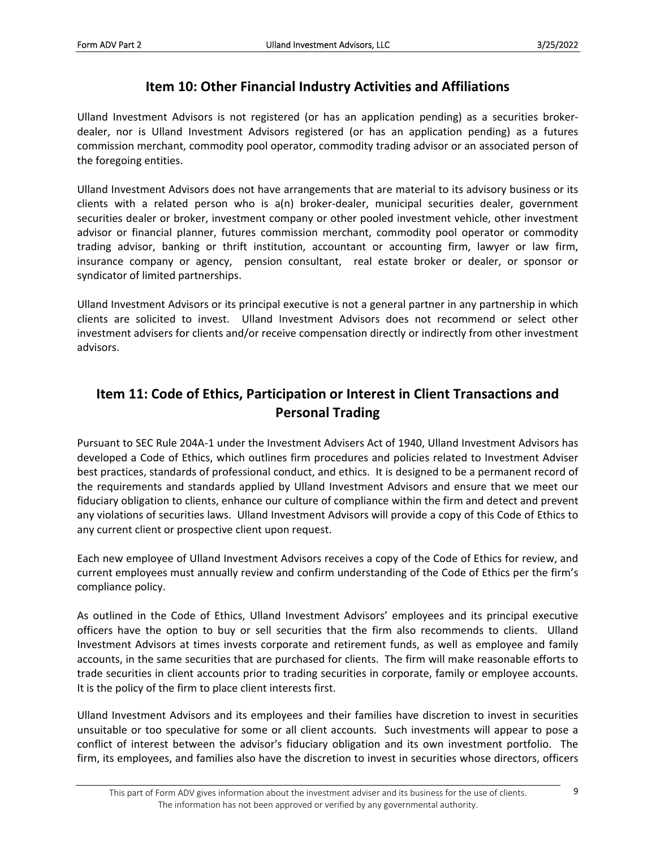### **Item 10: Other Financial Industry Activities and Affiliations**

Ulland Investment Advisors is not registered (or has an application pending) as a securities broker‐ dealer, nor is Ulland Investment Advisors registered (or has an application pending) as a futures commission merchant, commodity pool operator, commodity trading advisor or an associated person of the foregoing entities.

Ulland Investment Advisors does not have arrangements that are material to its advisory business or its clients with a related person who is a(n) broker-dealer, municipal securities dealer, government securities dealer or broker, investment company or other pooled investment vehicle, other investment advisor or financial planner, futures commission merchant, commodity pool operator or commodity trading advisor, banking or thrift institution, accountant or accounting firm, lawyer or law firm, insurance company or agency, pension consultant, real estate broker or dealer, or sponsor or syndicator of limited partnerships.

Ulland Investment Advisors or its principal executive is not a general partner in any partnership in which clients are solicited to invest. Ulland Investment Advisors does not recommend or select other investment advisers for clients and/or receive compensation directly or indirectly from other investment advisors.

## **Item 11: Code of Ethics, Participation or Interest in Client Transactions and Personal Trading**

Pursuant to SEC Rule 204A‐1 under the Investment Advisers Act of 1940, Ulland Investment Advisors has developed a Code of Ethics, which outlines firm procedures and policies related to Investment Adviser best practices, standards of professional conduct, and ethics. It is designed to be a permanent record of the requirements and standards applied by Ulland Investment Advisors and ensure that we meet our fiduciary obligation to clients, enhance our culture of compliance within the firm and detect and prevent any violations of securities laws. Ulland Investment Advisors will provide a copy of this Code of Ethics to any current client or prospective client upon request.

Each new employee of Ulland Investment Advisors receives a copy of the Code of Ethics for review, and current employees must annually review and confirm understanding of the Code of Ethics per the firm's compliance policy.

As outlined in the Code of Ethics, Ulland Investment Advisors' employees and its principal executive officers have the option to buy or sell securities that the firm also recommends to clients. Ulland Investment Advisors at times invests corporate and retirement funds, as well as employee and family accounts, in the same securities that are purchased for clients. The firm will make reasonable efforts to trade securities in client accounts prior to trading securities in corporate, family or employee accounts. It is the policy of the firm to place client interests first.

Ulland Investment Advisors and its employees and their families have discretion to invest in securities unsuitable or too speculative for some or all client accounts. Such investments will appear to pose a conflict of interest between the advisor's fiduciary obligation and its own investment portfolio. The firm, its employees, and families also have the discretion to invest in securities whose directors, officers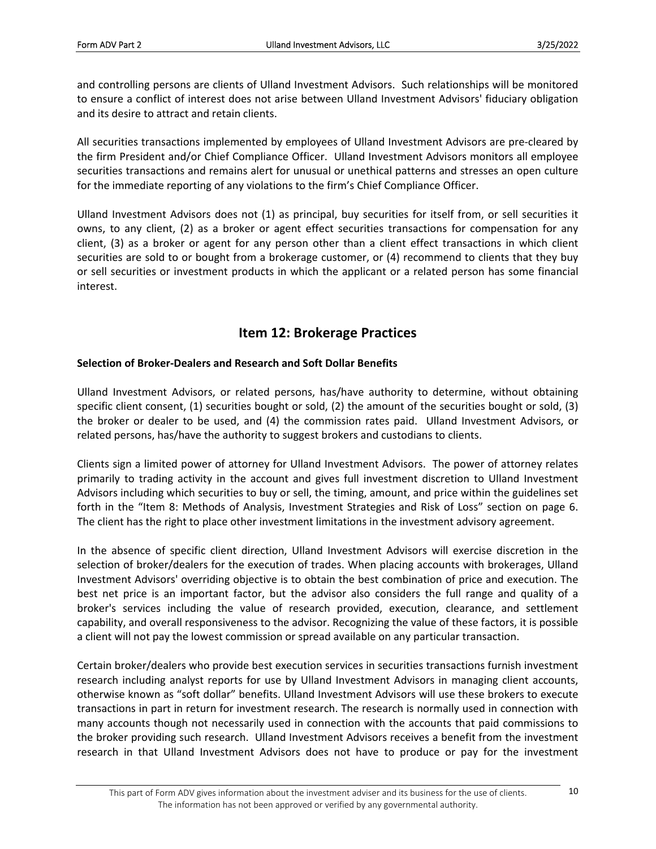and controlling persons are clients of Ulland Investment Advisors. Such relationships will be monitored to ensure a conflict of interest does not arise between Ulland Investment Advisors' fiduciary obligation and its desire to attract and retain clients.

All securities transactions implemented by employees of Ulland Investment Advisors are pre‐cleared by the firm President and/or Chief Compliance Officer. Ulland Investment Advisors monitors all employee securities transactions and remains alert for unusual or unethical patterns and stresses an open culture for the immediate reporting of any violations to the firm's Chief Compliance Officer.

Ulland Investment Advisors does not (1) as principal, buy securities for itself from, or sell securities it owns, to any client, (2) as a broker or agent effect securities transactions for compensation for any client, (3) as a broker or agent for any person other than a client effect transactions in which client securities are sold to or bought from a brokerage customer, or (4) recommend to clients that they buy or sell securities or investment products in which the applicant or a related person has some financial interest.

### **Item 12: Brokerage Practices**

### **Selection of Broker‐Dealers and Research and Soft Dollar Benefits**

Ulland Investment Advisors, or related persons, has/have authority to determine, without obtaining specific client consent, (1) securities bought or sold, (2) the amount of the securities bought or sold, (3) the broker or dealer to be used, and (4) the commission rates paid. Ulland Investment Advisors, or related persons, has/have the authority to suggest brokers and custodians to clients.

Clients sign a limited power of attorney for Ulland Investment Advisors. The power of attorney relates primarily to trading activity in the account and gives full investment discretion to Ulland Investment Advisors including which securities to buy or sell, the timing, amount, and price within the guidelines set forth in the "Item 8: Methods of Analysis, Investment Strategies and Risk of Loss" section on page 6. The client has the right to place other investment limitations in the investment advisory agreement.

In the absence of specific client direction, Ulland Investment Advisors will exercise discretion in the selection of broker/dealers for the execution of trades. When placing accounts with brokerages, Ulland Investment Advisors' overriding objective is to obtain the best combination of price and execution. The best net price is an important factor, but the advisor also considers the full range and quality of a broker's services including the value of research provided, execution, clearance, and settlement capability, and overall responsiveness to the advisor. Recognizing the value of these factors, it is possible a client will not pay the lowest commission or spread available on any particular transaction.

Certain broker/dealers who provide best execution services in securities transactions furnish investment research including analyst reports for use by Ulland Investment Advisors in managing client accounts, otherwise known as "soft dollar" benefits. Ulland Investment Advisors will use these brokers to execute transactions in part in return for investment research. The research is normally used in connection with many accounts though not necessarily used in connection with the accounts that paid commissions to the broker providing such research. Ulland Investment Advisors receives a benefit from the investment research in that Ulland Investment Advisors does not have to produce or pay for the investment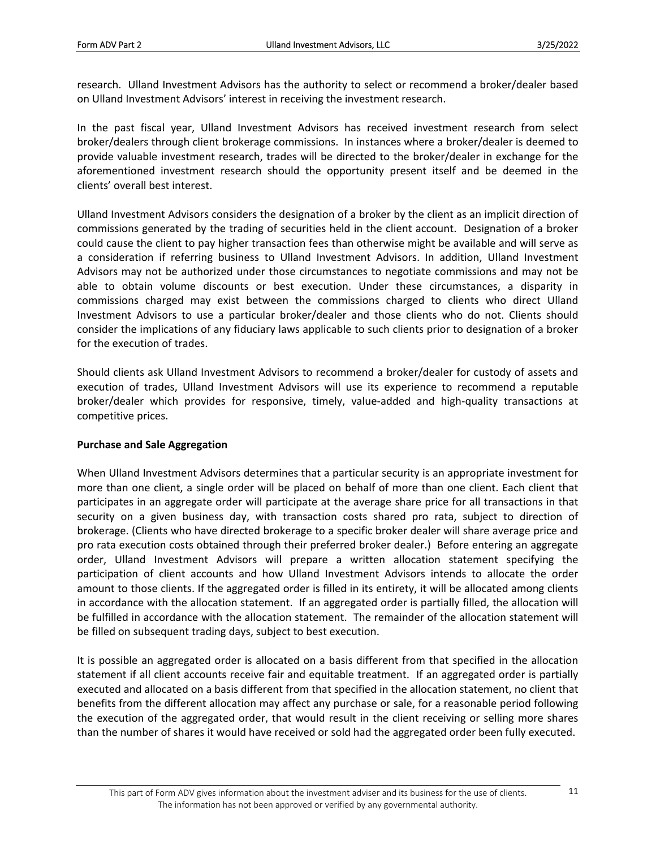research. Ulland Investment Advisors has the authority to select or recommend a broker/dealer based on Ulland Investment Advisors' interest in receiving the investment research.

In the past fiscal year, Ulland Investment Advisors has received investment research from select broker/dealers through client brokerage commissions. In instances where a broker/dealer is deemed to provide valuable investment research, trades will be directed to the broker/dealer in exchange for the aforementioned investment research should the opportunity present itself and be deemed in the clients' overall best interest.

Ulland Investment Advisors considers the designation of a broker by the client as an implicit direction of commissions generated by the trading of securities held in the client account. Designation of a broker could cause the client to pay higher transaction fees than otherwise might be available and will serve as a consideration if referring business to Ulland Investment Advisors. In addition, Ulland Investment Advisors may not be authorized under those circumstances to negotiate commissions and may not be able to obtain volume discounts or best execution. Under these circumstances, a disparity in commissions charged may exist between the commissions charged to clients who direct Ulland Investment Advisors to use a particular broker/dealer and those clients who do not. Clients should consider the implications of any fiduciary laws applicable to such clients prior to designation of a broker for the execution of trades.

Should clients ask Ulland Investment Advisors to recommend a broker/dealer for custody of assets and execution of trades, Ulland Investment Advisors will use its experience to recommend a reputable broker/dealer which provides for responsive, timely, value‐added and high‐quality transactions at competitive prices.

### **Purchase and Sale Aggregation**

When Ulland Investment Advisors determines that a particular security is an appropriate investment for more than one client, a single order will be placed on behalf of more than one client. Each client that participates in an aggregate order will participate at the average share price for all transactions in that security on a given business day, with transaction costs shared pro rata, subject to direction of brokerage. (Clients who have directed brokerage to a specific broker dealer will share average price and pro rata execution costs obtained through their preferred broker dealer.) Before entering an aggregate order, Ulland Investment Advisors will prepare a written allocation statement specifying the participation of client accounts and how Ulland Investment Advisors intends to allocate the order amount to those clients. If the aggregated order is filled in its entirety, it will be allocated among clients in accordance with the allocation statement. If an aggregated order is partially filled, the allocation will be fulfilled in accordance with the allocation statement. The remainder of the allocation statement will be filled on subsequent trading days, subject to best execution.

It is possible an aggregated order is allocated on a basis different from that specified in the allocation statement if all client accounts receive fair and equitable treatment. If an aggregated order is partially executed and allocated on a basis different from that specified in the allocation statement, no client that benefits from the different allocation may affect any purchase or sale, for a reasonable period following the execution of the aggregated order, that would result in the client receiving or selling more shares than the number of shares it would have received or sold had the aggregated order been fully executed.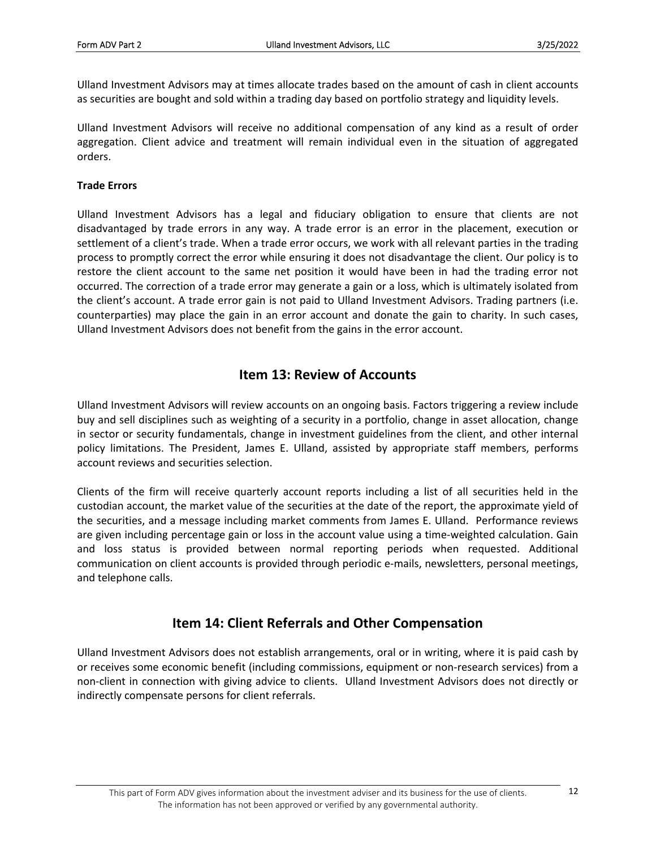Ulland Investment Advisors may at times allocate trades based on the amount of cash in client accounts as securities are bought and sold within a trading day based on portfolio strategy and liquidity levels.

Ulland Investment Advisors will receive no additional compensation of any kind as a result of order aggregation. Client advice and treatment will remain individual even in the situation of aggregated orders.

#### **Trade Errors**

Ulland Investment Advisors has a legal and fiduciary obligation to ensure that clients are not disadvantaged by trade errors in any way. A trade error is an error in the placement, execution or settlement of a client's trade. When a trade error occurs, we work with all relevant parties in the trading process to promptly correct the error while ensuring it does not disadvantage the client. Our policy is to restore the client account to the same net position it would have been in had the trading error not occurred. The correction of a trade error may generate a gain or a loss, which is ultimately isolated from the client's account. A trade error gain is not paid to Ulland Investment Advisors. Trading partners (i.e. counterparties) may place the gain in an error account and donate the gain to charity. In such cases, Ulland Investment Advisors does not benefit from the gains in the error account.

### **Item 13: Review of Accounts**

Ulland Investment Advisors will review accounts on an ongoing basis. Factors triggering a review include buy and sell disciplines such as weighting of a security in a portfolio, change in asset allocation, change in sector or security fundamentals, change in investment guidelines from the client, and other internal policy limitations. The President, James E. Ulland, assisted by appropriate staff members, performs account reviews and securities selection.

Clients of the firm will receive quarterly account reports including a list of all securities held in the custodian account, the market value of the securities at the date of the report, the approximate yield of the securities, and a message including market comments from James E. Ulland. Performance reviews are given including percentage gain or loss in the account value using a time-weighted calculation. Gain and loss status is provided between normal reporting periods when requested. Additional communication on client accounts is provided through periodic e‐mails, newsletters, personal meetings, and telephone calls.

### **Item 14: Client Referrals and Other Compensation**

Ulland Investment Advisors does not establish arrangements, oral or in writing, where it is paid cash by or receives some economic benefit (including commissions, equipment or non‐research services) from a non‐client in connection with giving advice to clients. Ulland Investment Advisors does not directly or indirectly compensate persons for client referrals.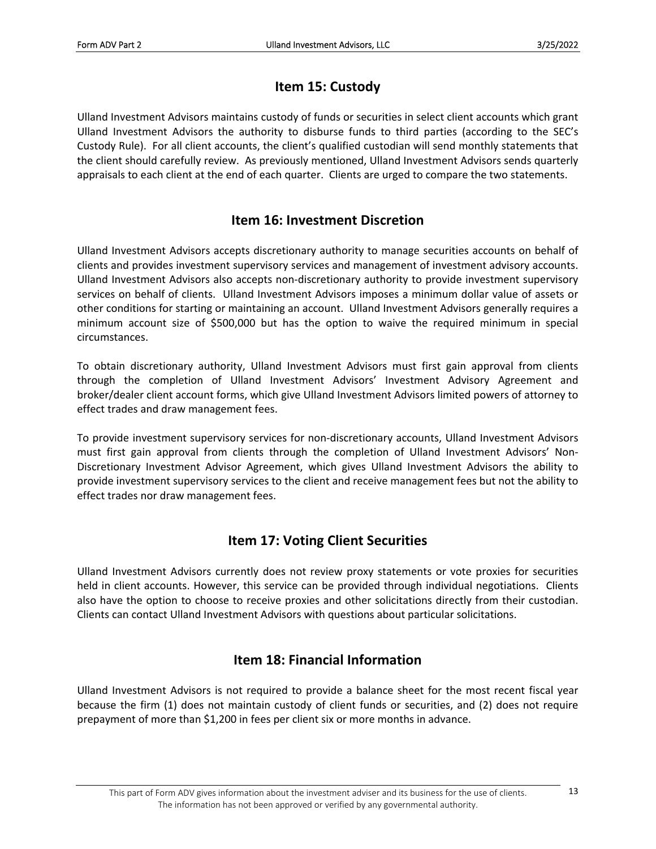## **Item 15: Custody**

Ulland Investment Advisors maintains custody of funds or securities in select client accounts which grant Ulland Investment Advisors the authority to disburse funds to third parties (according to the SEC's Custody Rule). For all client accounts, the client's qualified custodian will send monthly statements that the client should carefully review. As previously mentioned, Ulland Investment Advisors sends quarterly appraisals to each client at the end of each quarter. Clients are urged to compare the two statements.

### **Item 16: Investment Discretion**

Ulland Investment Advisors accepts discretionary authority to manage securities accounts on behalf of clients and provides investment supervisory services and management of investment advisory accounts. Ulland Investment Advisors also accepts non‐discretionary authority to provide investment supervisory services on behalf of clients. Ulland Investment Advisors imposes a minimum dollar value of assets or other conditions for starting or maintaining an account. Ulland Investment Advisors generally requires a minimum account size of \$500,000 but has the option to waive the required minimum in special circumstances.

To obtain discretionary authority, Ulland Investment Advisors must first gain approval from clients through the completion of Ulland Investment Advisors' Investment Advisory Agreement and broker/dealer client account forms, which give Ulland Investment Advisors limited powers of attorney to effect trades and draw management fees.

To provide investment supervisory services for non‐discretionary accounts, Ulland Investment Advisors must first gain approval from clients through the completion of Ulland Investment Advisors' Non‐ Discretionary Investment Advisor Agreement, which gives Ulland Investment Advisors the ability to provide investment supervisory services to the client and receive management fees but not the ability to effect trades nor draw management fees.

## **Item 17: Voting Client Securities**

Ulland Investment Advisors currently does not review proxy statements or vote proxies for securities held in client accounts. However, this service can be provided through individual negotiations. Clients also have the option to choose to receive proxies and other solicitations directly from their custodian. Clients can contact Ulland Investment Advisors with questions about particular solicitations.

### **Item 18: Financial Information**

Ulland Investment Advisors is not required to provide a balance sheet for the most recent fiscal year because the firm (1) does not maintain custody of client funds or securities, and (2) does not require prepayment of more than \$1,200 in fees per client six or more months in advance.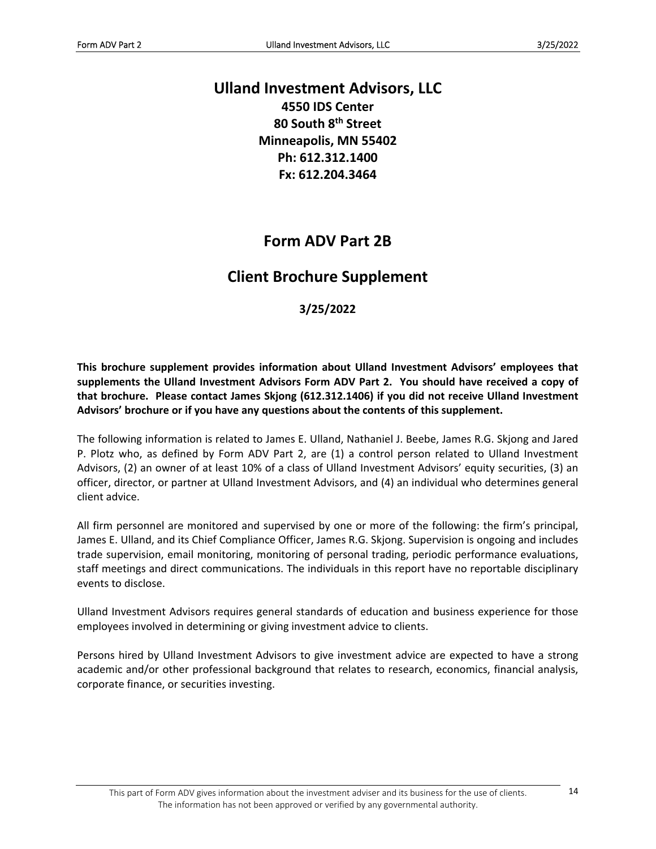## **Ulland Investment Advisors, LLC**

**4550 IDS Center 80 South 8th Street Minneapolis, MN 55402 Ph: 612.312.1400 Fx: 612.204.3464**

# **Form ADV Part 2B**

# **Client Brochure Supplement**

### **3/25/2022**

**This brochure supplement provides information about Ulland Investment Advisors' employees that supplements the Ulland Investment Advisors Form ADV Part 2. You should have received a copy of that brochure. Please contact James Skjong (612.312.1406) if you did not receive Ulland Investment Advisors' brochure or if you have any questions about the contents of this supplement.** 

The following information is related to James E. Ulland, Nathaniel J. Beebe, James R.G. Skjong and Jared P. Plotz who, as defined by Form ADV Part 2, are (1) a control person related to Ulland Investment Advisors, (2) an owner of at least 10% of a class of Ulland Investment Advisors' equity securities, (3) an officer, director, or partner at Ulland Investment Advisors, and (4) an individual who determines general client advice.

All firm personnel are monitored and supervised by one or more of the following: the firm's principal, James E. Ulland, and its Chief Compliance Officer, James R.G. Skjong. Supervision is ongoing and includes trade supervision, email monitoring, monitoring of personal trading, periodic performance evaluations, staff meetings and direct communications. The individuals in this report have no reportable disciplinary events to disclose.

Ulland Investment Advisors requires general standards of education and business experience for those employees involved in determining or giving investment advice to clients.

Persons hired by Ulland Investment Advisors to give investment advice are expected to have a strong academic and/or other professional background that relates to research, economics, financial analysis, corporate finance, or securities investing.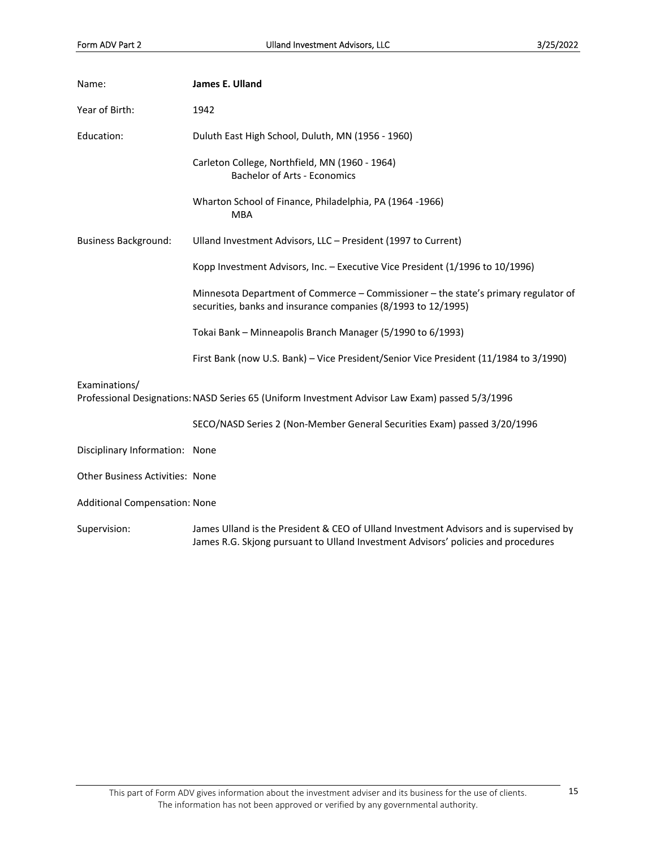| Name:                                  | James E. Ulland                                                                                                                                                             |
|----------------------------------------|-----------------------------------------------------------------------------------------------------------------------------------------------------------------------------|
| Year of Birth:                         | 1942                                                                                                                                                                        |
| Education:                             | Duluth East High School, Duluth, MN (1956 - 1960)                                                                                                                           |
|                                        | Carleton College, Northfield, MN (1960 - 1964)<br><b>Bachelor of Arts - Economics</b>                                                                                       |
|                                        | Wharton School of Finance, Philadelphia, PA (1964-1966)<br><b>MBA</b>                                                                                                       |
| <b>Business Background:</b>            | Ulland Investment Advisors, LLC - President (1997 to Current)                                                                                                               |
|                                        | Kopp Investment Advisors, Inc. - Executive Vice President (1/1996 to 10/1996)                                                                                               |
|                                        | Minnesota Department of Commerce - Commissioner - the state's primary regulator of<br>securities, banks and insurance companies (8/1993 to 12/1995)                         |
|                                        | Tokai Bank - Minneapolis Branch Manager (5/1990 to 6/1993)                                                                                                                  |
|                                        | First Bank (now U.S. Bank) - Vice President/Senior Vice President (11/1984 to 3/1990)                                                                                       |
| Examinations/                          | Professional Designations: NASD Series 65 (Uniform Investment Advisor Law Exam) passed 5/3/1996                                                                             |
|                                        | SECO/NASD Series 2 (Non-Member General Securities Exam) passed 3/20/1996                                                                                                    |
| Disciplinary Information: None         |                                                                                                                                                                             |
| <b>Other Business Activities: None</b> |                                                                                                                                                                             |
| <b>Additional Compensation: None</b>   |                                                                                                                                                                             |
| Supervision:                           | James Ulland is the President & CEO of Ulland Investment Advisors and is supervised by<br>James R.G. Skjong pursuant to Ulland Investment Advisors' policies and procedures |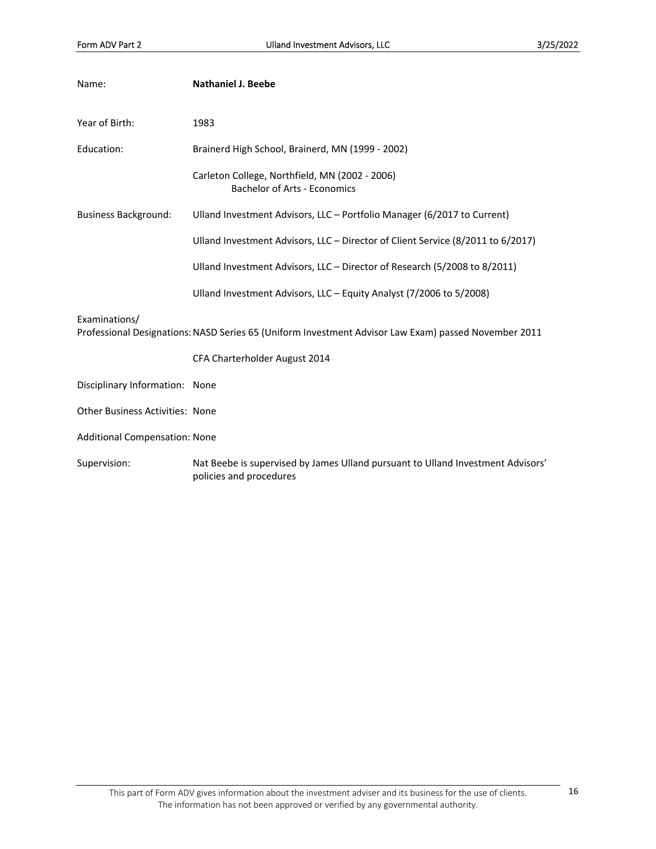| Name:                                  | <b>Nathaniel J. Beebe</b>                                                                                  |
|----------------------------------------|------------------------------------------------------------------------------------------------------------|
| Year of Birth:                         | 1983                                                                                                       |
| Education:                             | Brainerd High School, Brainerd, MN (1999 - 2002)                                                           |
|                                        | Carleton College, Northfield, MN (2002 - 2006)<br><b>Bachelor of Arts - Economics</b>                      |
| <b>Business Background:</b>            | Ulland Investment Advisors, LLC - Portfolio Manager (6/2017 to Current)                                    |
|                                        | Ulland Investment Advisors, LLC - Director of Client Service (8/2011 to 6/2017)                            |
|                                        | Ulland Investment Advisors, LLC - Director of Research (5/2008 to 8/2011)                                  |
|                                        | Ulland Investment Advisors, LLC - Equity Analyst (7/2006 to 5/2008)                                        |
| Examinations/                          | Professional Designations: NASD Series 65 (Uniform Investment Advisor Law Exam) passed November 2011       |
|                                        | CFA Charterholder August 2014                                                                              |
| Disciplinary Information: None         |                                                                                                            |
| <b>Other Business Activities: None</b> |                                                                                                            |
| <b>Additional Compensation: None</b>   |                                                                                                            |
| Supervision:                           | Nat Beebe is supervised by James Ulland pursuant to Ulland Investment Advisors'<br>policies and procedures |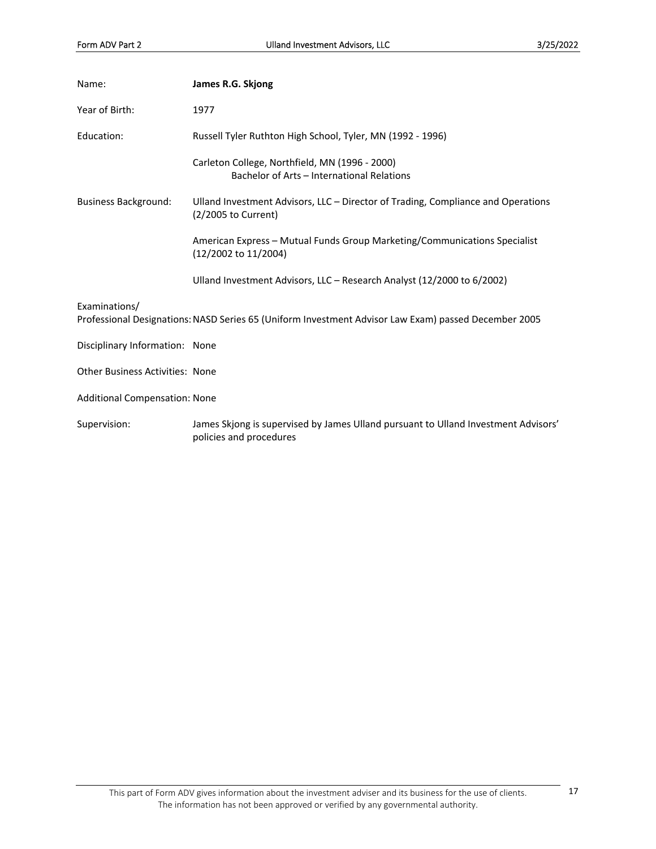| Name:                                  | James R.G. Skjong                                                                                             |
|----------------------------------------|---------------------------------------------------------------------------------------------------------------|
| Year of Birth:                         | 1977                                                                                                          |
| Education:                             | Russell Tyler Ruthton High School, Tyler, MN (1992 - 1996)                                                    |
|                                        | Carleton College, Northfield, MN (1996 - 2000)<br>Bachelor of Arts - International Relations                  |
| <b>Business Background:</b>            | Ulland Investment Advisors, LLC – Director of Trading, Compliance and Operations<br>(2/2005 to Current)       |
|                                        | American Express - Mutual Funds Group Marketing/Communications Specialist<br>(12/2002 to 11/2004)             |
|                                        | Ulland Investment Advisors, LLC – Research Analyst (12/2000 to 6/2002)                                        |
| Examinations/                          | Professional Designations: NASD Series 65 (Uniform Investment Advisor Law Exam) passed December 2005          |
| Disciplinary Information: None         |                                                                                                               |
| <b>Other Business Activities: None</b> |                                                                                                               |
| <b>Additional Compensation: None</b>   |                                                                                                               |
| Supervision:                           | James Skjong is supervised by James Ulland pursuant to Ulland Investment Advisors'<br>policies and procedures |